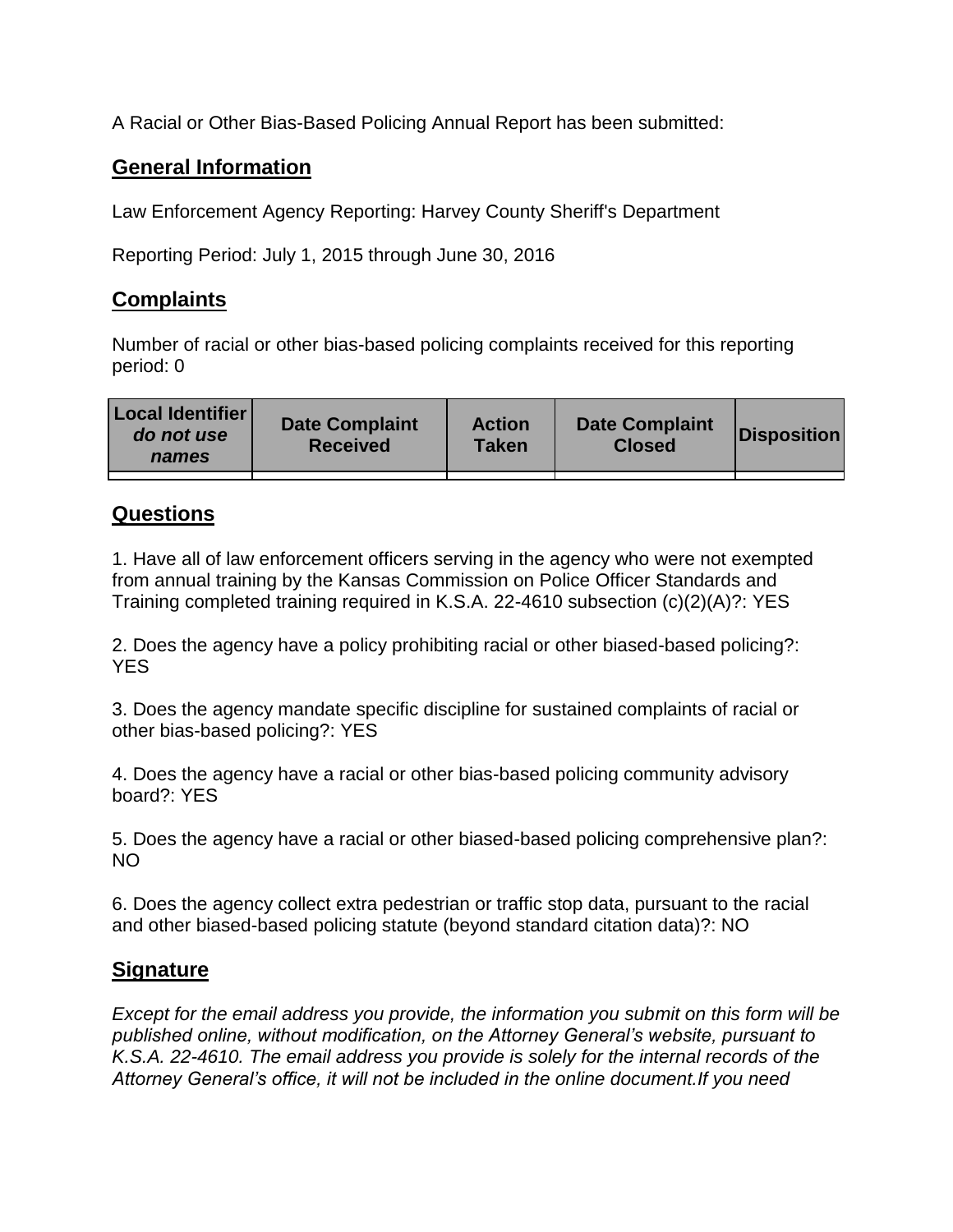A Racial or Other Bias-Based Policing Annual Report has been submitted:

## **General Information**

Law Enforcement Agency Reporting: Harvey County Sheriff's Department

Reporting Period: July 1, 2015 through June 30, 2016

## **Complaints**

Number of racial or other bias-based policing complaints received for this reporting period: 0

| <b>Local Identifier</b><br>do not use<br>names | <b>Date Complaint</b><br><b>Received</b> | <b>Action</b><br><b>Taken</b> | <b>Date Complaint</b><br><b>Closed</b> | Disposition |
|------------------------------------------------|------------------------------------------|-------------------------------|----------------------------------------|-------------|
|                                                |                                          |                               |                                        |             |

## **Questions**

1. Have all of law enforcement officers serving in the agency who were not exempted from annual training by the Kansas Commission on Police Officer Standards and Training completed training required in K.S.A. 22-4610 subsection (c)(2)(A)?: YES

2. Does the agency have a policy prohibiting racial or other biased-based policing?: YES

3. Does the agency mandate specific discipline for sustained complaints of racial or other bias-based policing?: YES

4. Does the agency have a racial or other bias-based policing community advisory board?: YES

5. Does the agency have a racial or other biased-based policing comprehensive plan?: NO

6. Does the agency collect extra pedestrian or traffic stop data, pursuant to the racial and other biased-based policing statute (beyond standard citation data)?: NO

## **Signature**

*Except for the email address you provide, the information you submit on this form will be published online, without modification, on the Attorney General's website, pursuant to K.S.A. 22-4610. The email address you provide is solely for the internal records of the Attorney General's office, it will not be included in the online document.If you need*